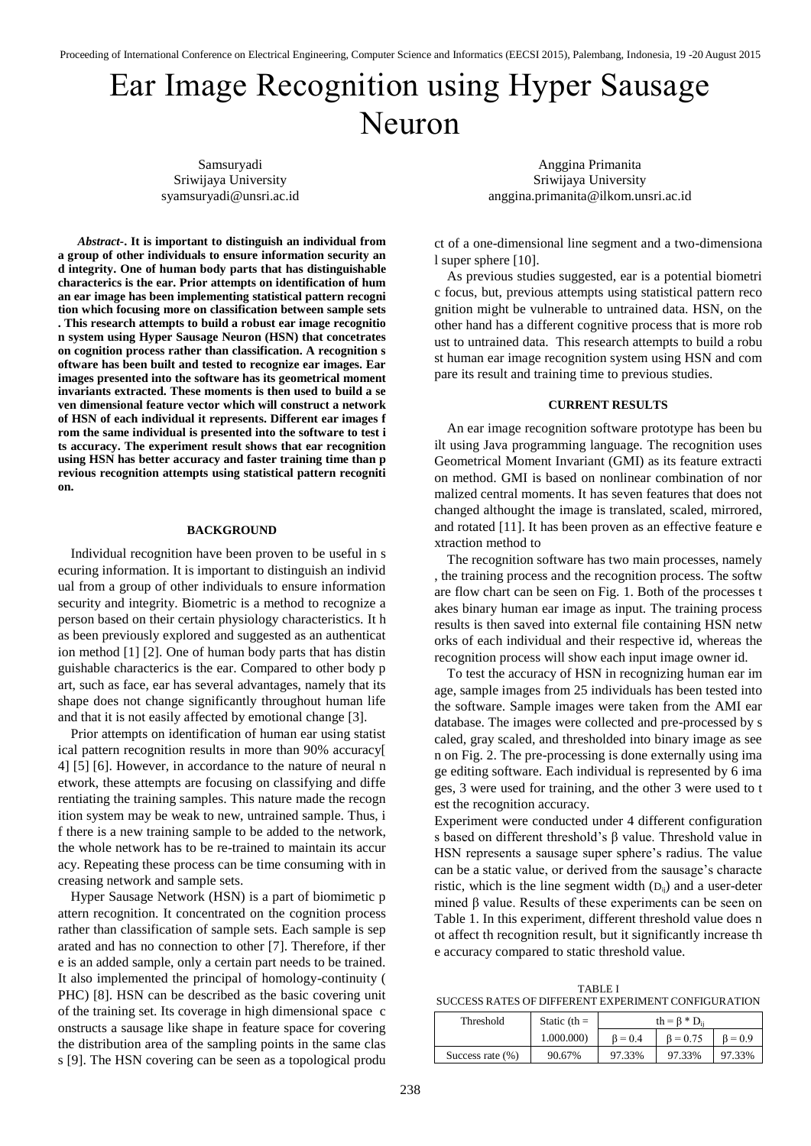## Ear Image Recognition using Hyper Sausage Neuron

Samsuryadi Sriwijaya University syamsuryadi@unsri.ac.id

*Abstract-***. It is important to distinguish an individual from a group of other individuals to ensure information security an d integrity. One of human body parts that has distinguishable characterics is the ear. Prior attempts on identification of hum an ear image has been implementing statistical pattern recogni tion which focusing more on classification between sample sets . This research attempts to build a robust ear image recognitio n system using Hyper Sausage Neuron (HSN) that concetrates on cognition process rather than classification. A recognition s oftware has been built and tested to recognize ear images. Ear images presented into the software has its geometrical moment invariants extracted. These moments is then used to build a se ven dimensional feature vector which will construct a network of HSN of each individual it represents. Different ear images f rom the same individual is presented into the software to test i ts accuracy. The experiment result shows that ear recognition using HSN has better accuracy and faster training time than p revious recognition attempts using statistical pattern recogniti on.**

## **BACKGROUND**

Individual recognition have been proven to be useful in s ecuring information. It is important to distinguish an individ ual from a group of other individuals to ensure information security and integrity. Biometric is a method to recognize a person based on their certain physiology characteristics. It h as been previously explored and suggested as an authenticat ion method [1] [2]. One of human body parts that has distin guishable characterics is the ear. Compared to other body p art, such as face, ear has several advantages, namely that its shape does not change significantly throughout human life and that it is not easily affected by emotional change [3].

Prior attempts on identification of human ear using statist ical pattern recognition results in more than 90% accuracy[ 4] [5] [6]. However, in accordance to the nature of neural n etwork, these attempts are focusing on classifying and diffe rentiating the training samples. This nature made the recogn ition system may be weak to new, untrained sample. Thus, i f there is a new training sample to be added to the network, the whole network has to be re-trained to maintain its accur acy. Repeating these process can be time consuming with in creasing network and sample sets.

Hyper Sausage Network (HSN) is a part of biomimetic p attern recognition. It concentrated on the cognition process rather than classification of sample sets. Each sample is sep arated and has no connection to other [7]. Therefore, if ther e is an added sample, only a certain part needs to be trained. It also implemented the principal of homology-continuity ( PHC) [8]. HSN can be described as the basic covering unit of the training set. Its coverage in high dimensional space c onstructs a sausage like shape in feature space for covering the distribution area of the sampling points in the same clas s [9]. The HSN covering can be seen as a topological produ

Anggina Primanita Sriwijaya University anggina.primanita@ilkom.unsri.ac.id

ct of a one-dimensional line segment and a two-dimensiona l super sphere [10].

As previous studies suggested, ear is a potential biometri c focus, but, previous attempts using statistical pattern reco gnition might be vulnerable to untrained data. HSN, on the other hand has a different cognitive process that is more rob ust to untrained data. This research attempts to build a robu st human ear image recognition system using HSN and com pare its result and training time to previous studies.

## **CURRENT RESULTS**

An ear image recognition software prototype has been bu ilt using Java programming language. The recognition uses Geometrical Moment Invariant (GMI) as its feature extracti on method. GMI is based on nonlinear combination of nor malized central moments. It has seven features that does not changed althought the image is translated, scaled, mirrored, and rotated [11]. It has been proven as an effective feature e xtraction method to

The recognition software has two main processes, namely , the training process and the recognition process. The softw are flow chart can be seen on Fig. 1. Both of the processes t akes binary human ear image as input. The training process results is then saved into external file containing HSN netw orks of each individual and their respective id, whereas the recognition process will show each input image owner id.

To test the accuracy of HSN in recognizing human ear im age, sample images from 25 individuals has been tested into the software. Sample images were taken from the AMI ear database. The images were collected and pre-processed by s caled, gray scaled, and thresholded into binary image as see n on Fig. 2. The pre-processing is done externally using ima ge editing software. Each individual is represented by 6 ima ges, 3 were used for training, and the other 3 were used to t est the recognition accuracy.

Experiment were conducted under 4 different configuration s based on different threshold's  $\beta$  value. Threshold value in HSN represents a sausage super sphere's radius. The value can be a static value, or derived from the sausage's characte ristic, which is the line segment width  $(D_{ij})$  and a user-deter mined β value. Results of these experiments can be seen on Table 1. In this experiment, different threshold value does n ot affect th recognition result, but it significantly increase th e accuracy compared to static threshold value.

TABLE I SUCCESS RATES OF DIFFERENT EXPERIMENT CONFIGURATION

| Threshold           | Static (th $=$ | th = $\beta$ * D <sub>ii</sub> |                |               |
|---------------------|----------------|--------------------------------|----------------|---------------|
|                     | 1.000.000)     | $B = 0.4$                      | $\beta = 0.75$ | $\beta = 0.9$ |
| Success rate $(\%)$ | 90.67%         | 97.33%                         | 97.33%         | 97.33%        |